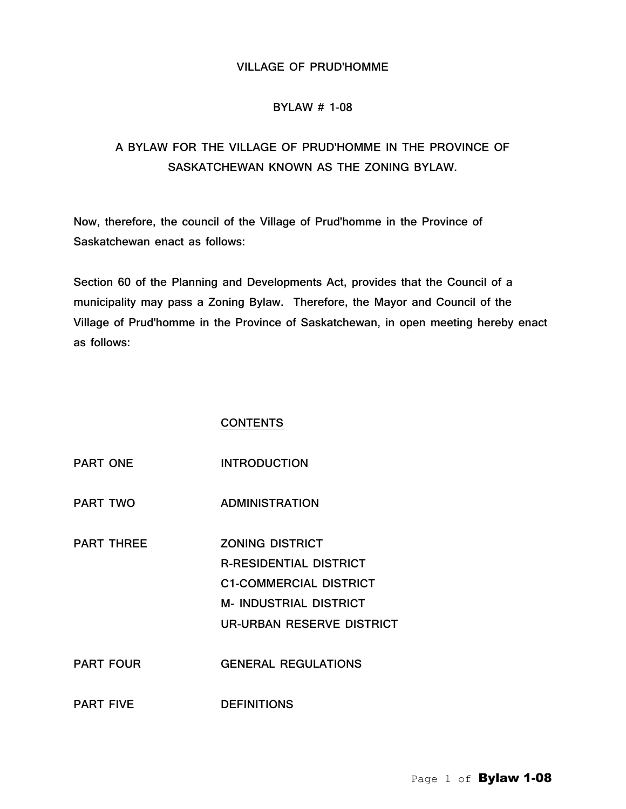### VILLAGE OF PRUD'HOMME

# BYLAW # 1-08

# A BYLAW FOR THE VILLAGE OF PRUD'HOMME IN THE PROVINCE OF SASKATCHEWAN KNOWN AS THE ZONING BYLAW.

Now, therefore, the council of the Village of Prud'homme in the Province of Saskatchewan enact as follows:

Section 60 of the Planning and Developments Act, provides that the Council of a municipality may pass a Zoning Bylaw. Therefore, the Mayor and Council of the Village of Prud'homme in the Province of Saskatchewan, in open meeting hereby enact as follows:

#### **CONTENTS**

| <b>PART ONE</b>   | <b>INTRODUCTION</b>           |
|-------------------|-------------------------------|
| <b>PART TWO</b>   | <b>ADMINISTRATION</b>         |
| <b>PART THREE</b> | <b>ZONING DISTRICT</b>        |
|                   | <b>R-RESIDENTIAL DISTRICT</b> |
|                   | <b>C1-COMMERCIAL DISTRICT</b> |
|                   | <b>M- INDUSTRIAL DISTRICT</b> |
|                   | UR-URBAN RESERVE DISTRICT     |
| <b>PART FOUR</b>  | <b>GENERAL REGULATIONS</b>    |
| <b>PART FIVE</b>  | <b>DEFINITIONS</b>            |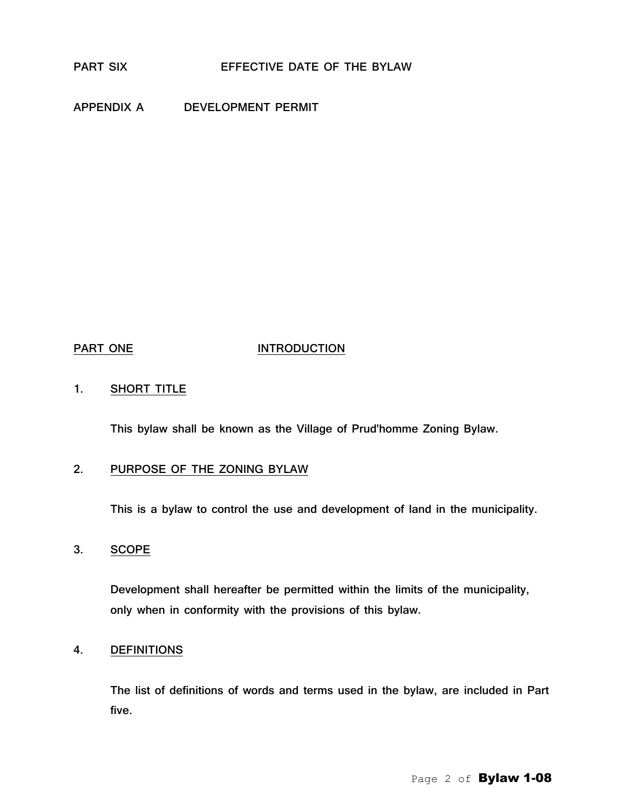APPENDIX A DEVELOPMENT PERMIT

#### PART ONE **INTRODUCTION**

1. SHORT TITLE

This bylaw shall be known as the Village of Prud'homme Zoning Bylaw.

# 2. PURPOSE OF THE ZONING BYLAW

This is a bylaw to control the use and development of land in the municipality.

3. SCOPE

Development shall hereafter be permitted within the limits of the municipality, only when in conformity with the provisions of this bylaw.

#### 4. DEFINITIONS

The list of definitions of words and terms used in the bylaw, are included in Part five.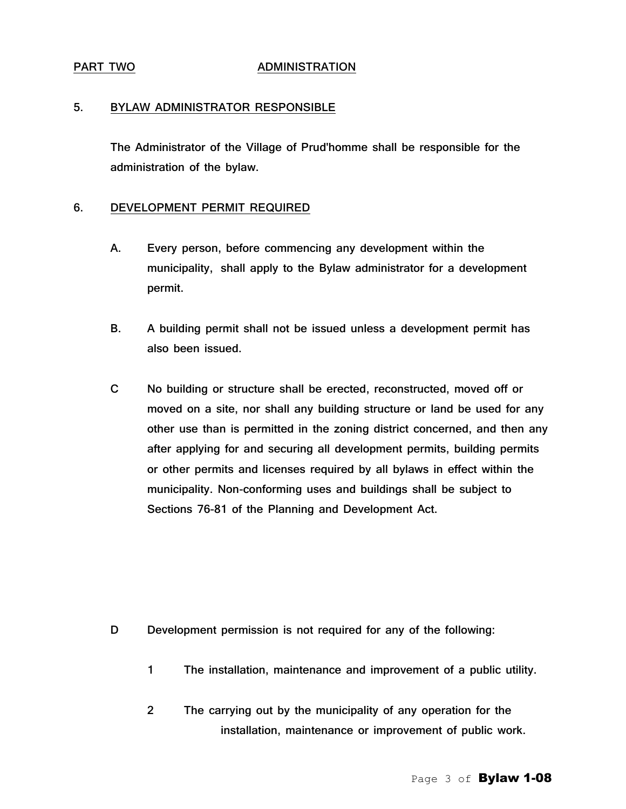#### PART TWO **ADMINISTRATION**

#### 5. BYLAW ADMINISTRATOR RESPONSIBLE

The Administrator of the Village of Prud'homme shall be responsible for the administration of the bylaw.

#### 6. DEVELOPMENT PERMIT REQUIRED

- A. Every person, before commencing any development within the municipality, shall apply to the Bylaw administrator for a development permit.
- B. A building permit shall not be issued unless a development permit has also been issued.
- C No building or structure shall be erected, reconstructed, moved off or moved on a site, nor shall any building structure or land be used for any other use than is permitted in the zoning district concerned, and then any after applying for and securing all development permits, building permits or other permits and licenses required by all bylaws in effect within the municipality. Non-conforming uses and buildings shall be subject to Sections 76-81 of the Planning and Development Act.

- D Development permission is not required for any of the following:
	- 1 The installation, maintenance and improvement of a public utility.
	- 2 The carrying out by the municipality of any operation for the installation, maintenance or improvement of public work.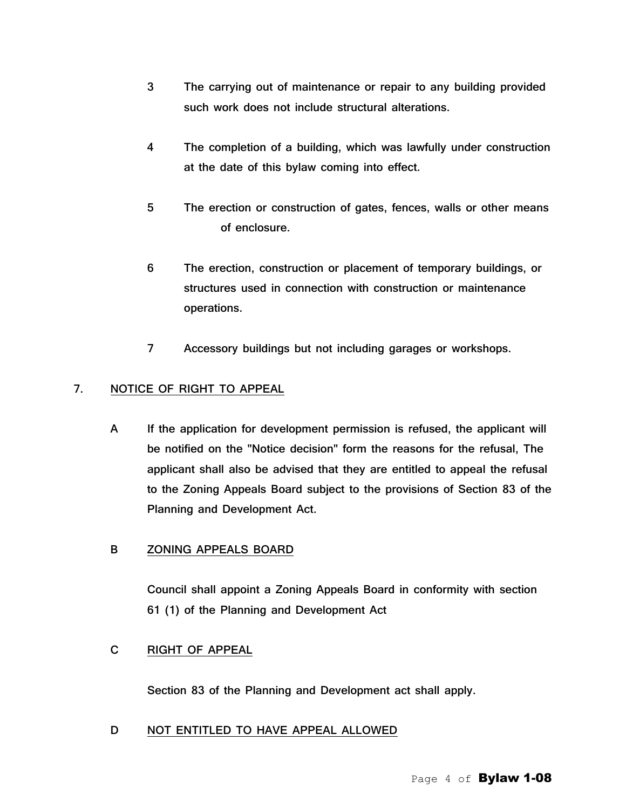- 3 The carrying out of maintenance or repair to any building provided such work does not include structural alterations.
- 4 The completion of a building, which was lawfully under construction at the date of this bylaw coming into effect.
- 5 The erection or construction of gates, fences, walls or other means of enclosure.
- 6 The erection, construction or placement of temporary buildings, or structures used in connection with construction or maintenance operations.
- 7 Accessory buildings but not including garages or workshops.

# 7. NOTICE OF RIGHT TO APPEAL

A If the application for development permission is refused, the applicant will be notified on the "Notice decision" form the reasons for the refusal, The applicant shall also be advised that they are entitled to appeal the refusal to the Zoning Appeals Board subject to the provisions of Section 83 of the Planning and Development Act.

# B ZONING APPEALS BOARD

Council shall appoint a Zoning Appeals Board in conformity with section 61 (1) of the Planning and Development Act

# C RIGHT OF APPEAL

Section 83 of the Planning and Development act shall apply.

# D NOT ENTITLED TO HAVE APPEAL ALLOWED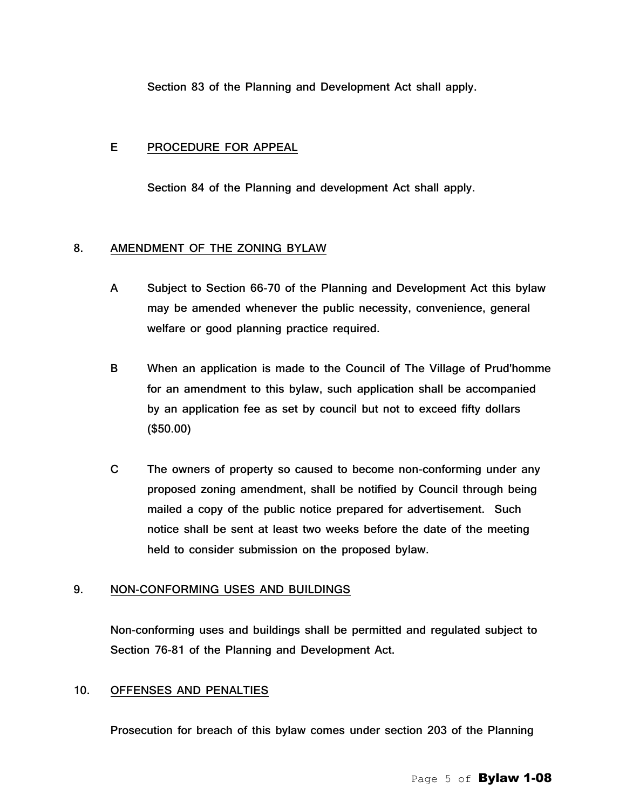Section 83 of the Planning and Development Act shall apply.

#### E PROCEDURE FOR APPEAL

Section 84 of the Planning and development Act shall apply.

#### 8. AMENDMENT OF THE ZONING BYLAW

- A Subject to Section 66-70 of the Planning and Development Act this bylaw may be amended whenever the public necessity, convenience, general welfare or good planning practice required.
- B When an application is made to the Council of The Village of Prud'homme for an amendment to this bylaw, such application shall be accompanied by an application fee as set by council but not to exceed fifty dollars (\$50.00)
- C The owners of property so caused to become non-conforming under any proposed zoning amendment, shall be notified by Council through being mailed a copy of the public notice prepared for advertisement. Such notice shall be sent at least two weeks before the date of the meeting held to consider submission on the proposed bylaw.

#### 9. NON-CONFORMING USES AND BUILDINGS

Non-conforming uses and buildings shall be permitted and regulated subject to Section 76-81 of the Planning and Development Act.

# 10. OFFENSES AND PENALTIES

Prosecution for breach of this bylaw comes under section 203 of the Planning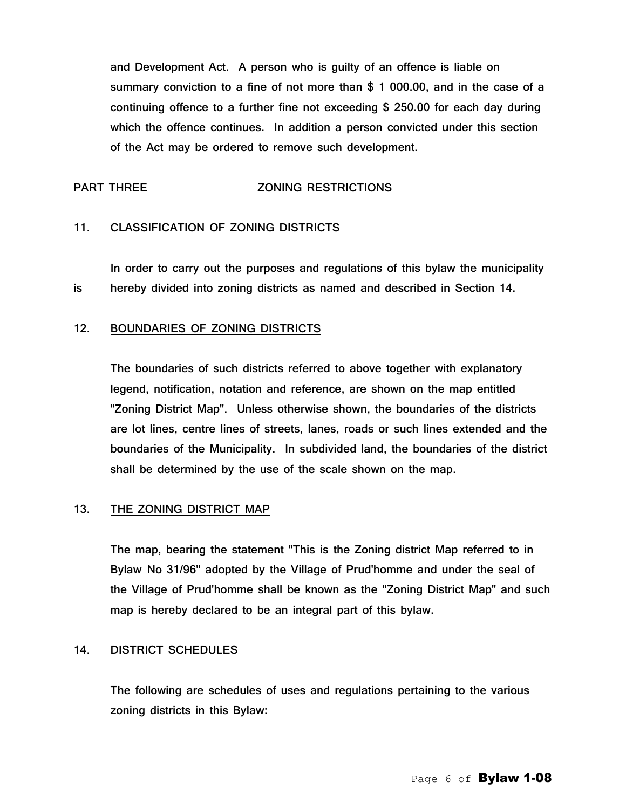and Development Act. A person who is guilty of an offence is liable on summary conviction to a fine of not more than \$ 1 000.00, and in the case of a continuing offence to a further fine not exceeding \$ 250.00 for each day during which the offence continues. In addition a person convicted under this section of the Act may be ordered to remove such development.

### PART THREE ZONING RESTRICTIONS

#### 11. CLASSIFICATION OF ZONING DISTRICTS

In order to carry out the purposes and regulations of this bylaw the municipality is hereby divided into zoning districts as named and described in Section 14.

### 12. BOUNDARIES OF ZONING DISTRICTS

The boundaries of such districts referred to above together with explanatory legend, notification, notation and reference, are shown on the map entitled "Zoning District Map". Unless otherwise shown, the boundaries of the districts are lot lines, centre lines of streets, lanes, roads or such lines extended and the boundaries of the Municipality. In subdivided land, the boundaries of the district shall be determined by the use of the scale shown on the map.

#### 13. THE ZONING DISTRICT MAP

The map, bearing the statement "This is the Zoning district Map referred to in Bylaw No 31/96" adopted by the Village of Prud'homme and under the seal of the Village of Prud'homme shall be known as the "Zoning District Map" and such map is hereby declared to be an integral part of this bylaw.

#### 14. DISTRICT SCHEDULES

The following are schedules of uses and regulations pertaining to the various zoning districts in this Bylaw: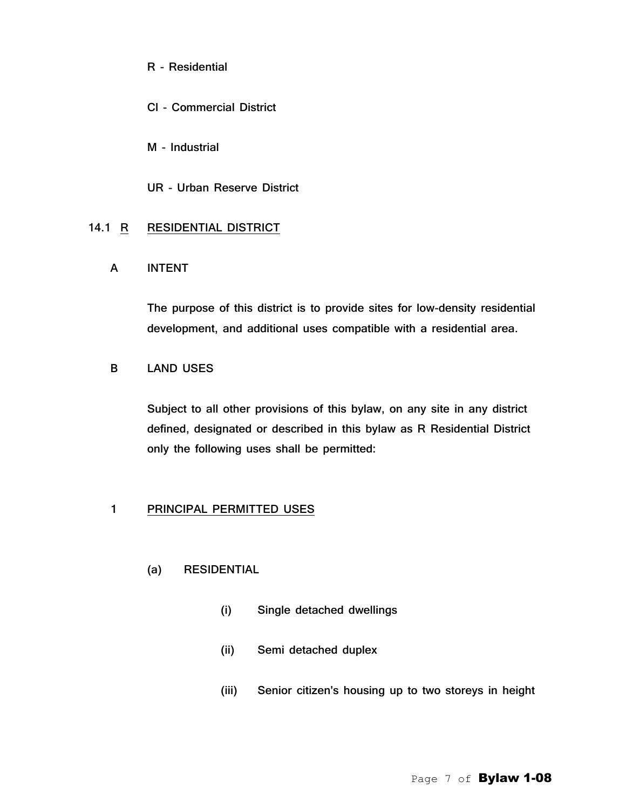R - Residential

Cl - Commercial District

M - Industrial

UR - Urban Reserve District

# 14.1 R RESIDENTIAL DISTRICT

A INTENT

The purpose of this district is to provide sites for low-density residential development, and additional uses compatible with a residential area.

# B LAND USES

Subject to all other provisions of this bylaw, on any site in any district defined, designated or described in this bylaw as R Residential District only the following uses shall be permitted:

# 1 PRINCIPAL PERMITTED USES

# (a) RESIDENTIAL

- (i) Single detached dwellings
- (ii) Semi detached duplex
- (iii) Senior citizen's housing up to two storeys in height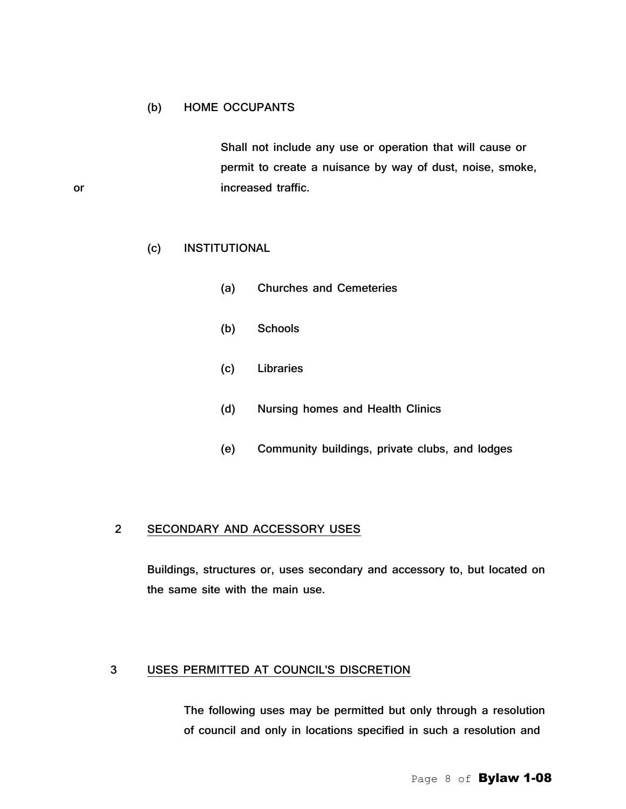# (b) HOME OCCUPANTS

Shall not include any use or operation that will cause or permit to create a nuisance by way of dust, noise, smoke, or increased traffic.

# (c) INSTITUTIONAL

- (a) Churches and Cemeteries
- (b) Schools
- (c) Libraries
- (d) Nursing homes and Health Clinics
- (e) Community buildings, private clubs, and lodges

### 2 SECONDARY AND ACCESSORY USES

Buildings, structures or, uses secondary and accessory to, but located on the same site with the main use.

# 3 USES PERMITTED AT COUNCIL'S DISCRETION

The following uses may be permitted but only through a resolution of council and only in locations specified in such a resolution and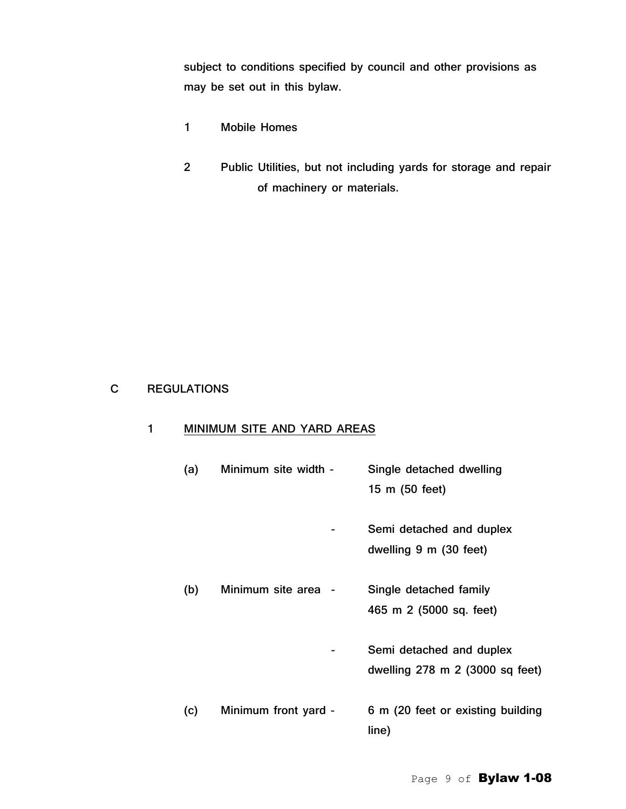subject to conditions specified by council and other provisions as may be set out in this bylaw.

- 1 Mobile Homes
- 2 Public Utilities, but not including yards for storage and repair of machinery or materials.

# C REGULATIONS

# 1 MINIMUM SITE AND YARD AREAS

| (a) | Minimum site width - | Single detached dwelling          |
|-----|----------------------|-----------------------------------|
|     |                      | 15 m (50 feet)                    |
|     |                      | Semi detached and duplex          |
|     |                      | dwelling 9 m (30 feet)            |
| (b) | Minimum site area -  | Single detached family            |
|     |                      | 465 m 2 (5000 sq. feet)           |
|     |                      | Semi detached and duplex          |
|     |                      | dwelling 278 m 2 (3000 sq feet)   |
| (c) | Minimum front yard - | 6 m (20 feet or existing building |
|     |                      | line)                             |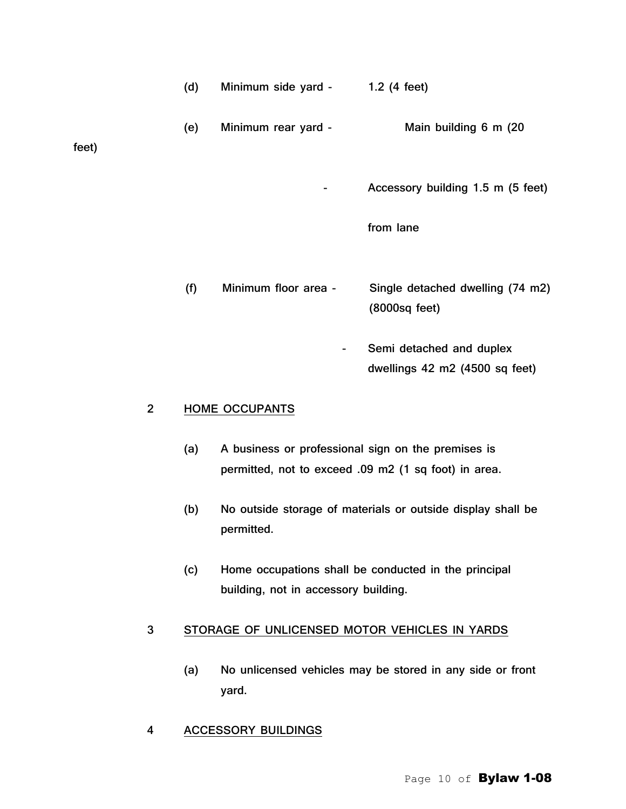|       | (d) | Minimum side yard -      | 1.2 $(4$ feet)                                    |
|-------|-----|--------------------------|---------------------------------------------------|
| feet) | (e) | Minimum rear yard -      | Main building 6 m (20                             |
|       |     | $\overline{\phantom{a}}$ | Accessory building 1.5 m (5 feet)                 |
|       |     |                          | from lane                                         |
|       | (f) | Minimum floor area -     | Single detached dwelling (74 m2)<br>(8000sq feet) |

 - Semi detached and duplex dwellings 42 m2 (4500 sq feet)

# 2 HOME OCCUPANTS

- (a) A business or professional sign on the premises is permitted, not to exceed .09 m2 (1 sq foot) in area.
- (b) No outside storage of materials or outside display shall be permitted.
- (c) Home occupations shall be conducted in the principal building, not in accessory building.

# 3 STORAGE OF UNLICENSED MOTOR VEHICLES IN YARDS

(a) No unlicensed vehicles may be stored in any side or front yard.

# 4 ACCESSORY BUILDINGS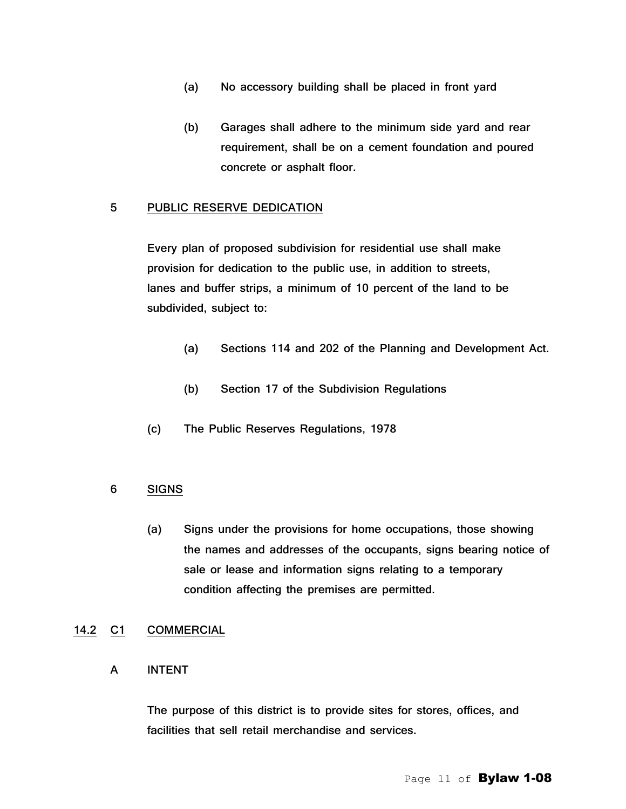- (a) No accessory building shall be placed in front yard
- (b) Garages shall adhere to the minimum side yard and rear requirement, shall be on a cement foundation and poured concrete or asphalt floor.

#### 5 PUBLIC RESERVE DEDICATION

Every plan of proposed subdivision for residential use shall make provision for dedication to the public use, in addition to streets, lanes and buffer strips, a minimum of 10 percent of the land to be subdivided, subject to:

- (a) Sections 114 and 202 of the Planning and Development Act.
- (b) Section 17 of the Subdivision Regulations
- (c) The Public Reserves Regulations, 1978

# 6 SIGNS

(a) Signs under the provisions for home occupations, those showing the names and addresses of the occupants, signs bearing notice of sale or lease and information signs relating to a temporary condition affecting the premises are permitted.

#### 14.2 C1 COMMERCIAL

#### A INTENT

The purpose of this district is to provide sites for stores, offices, and facilities that sell retail merchandise and services.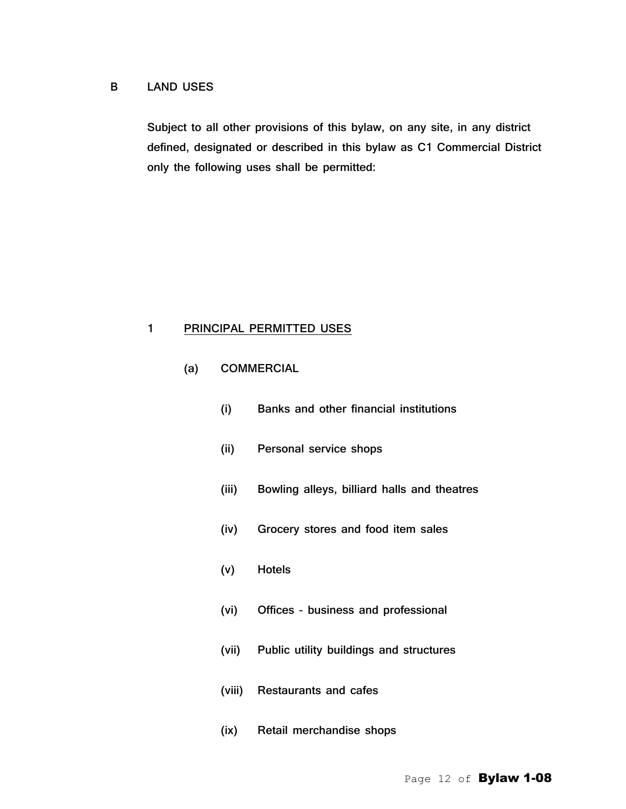#### B LAND USES

Subject to all other provisions of this bylaw, on any site, in any district defined, designated or described in this bylaw as C1 Commercial District only the following uses shall be permitted:

# 1 PRINCIPAL PERMITTED USES

- (a) COMMERCIAL
	- (i) Banks and other financial institutions
	- (ii) Personal service shops
	- (iii) Bowling alleys, billiard halls and theatres
	- (iv) Grocery stores and food item sales
	- (v) Hotels
	- (vi) Offices business and professional
	- (vii) Public utility buildings and structures
	- (viii) Restaurants and cafes
	- (ix) Retail merchandise shops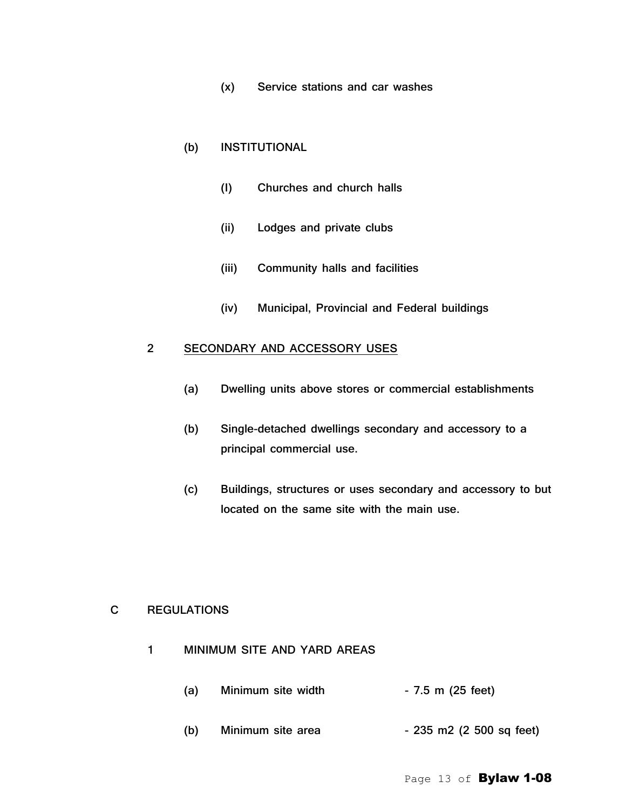(x) Service stations and car washes

### (b) INSTITUTIONAL

- (I) Churches and church halls
- (ii) Lodges and private clubs
- (iii) Community halls and facilities
- (iv) Municipal, Provincial and Federal buildings

# 2 SECONDARY AND ACCESSORY USES

- (a) Dwelling units above stores or commercial establishments
- (b) Single-detached dwellings secondary and accessory to a principal commercial use.
- (c) Buildings, structures or uses secondary and accessory to but located on the same site with the main use.

# C REGULATIONS

- 1 MINIMUM SITE AND YARD AREAS
	- (a) Minimum site width  $-7.5$  m (25 feet)
	- (b) Minimum site area  $-235$  m2 (2 500 sq feet)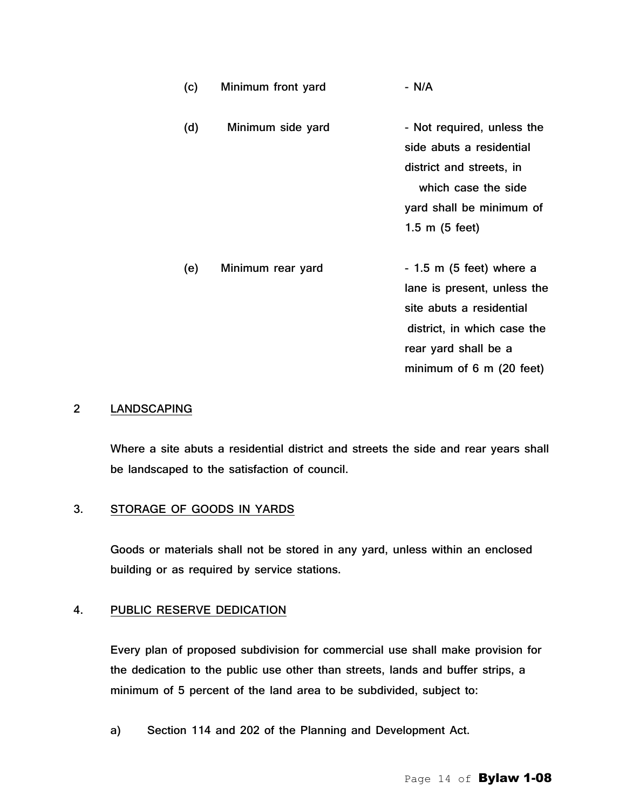(c) Minimum front yard - N/A (d) Minimum side yard - Not required, unless the side abuts a residential district and streets, in which case the side yard shall be minimum of 1.5 m (5 feet)

(e) Minimum rear yard  $-1.5$  m (5 feet) where a lane is present, unless the site abuts a residential district, in which case the rear yard shall be a minimum of 6 m (20 feet)

#### 2 LANDSCAPING

Where a site abuts a residential district and streets the side and rear years shall be landscaped to the satisfaction of council.

#### 3. STORAGE OF GOODS IN YARDS

Goods or materials shall not be stored in any yard, unless within an enclosed building or as required by service stations.

#### 4. PUBLIC RESERVE DEDICATION

Every plan of proposed subdivision for commercial use shall make provision for the dedication to the public use other than streets, lands and buffer strips, a minimum of 5 percent of the land area to be subdivided, subject to:

a) Section 114 and 202 of the Planning and Development Act.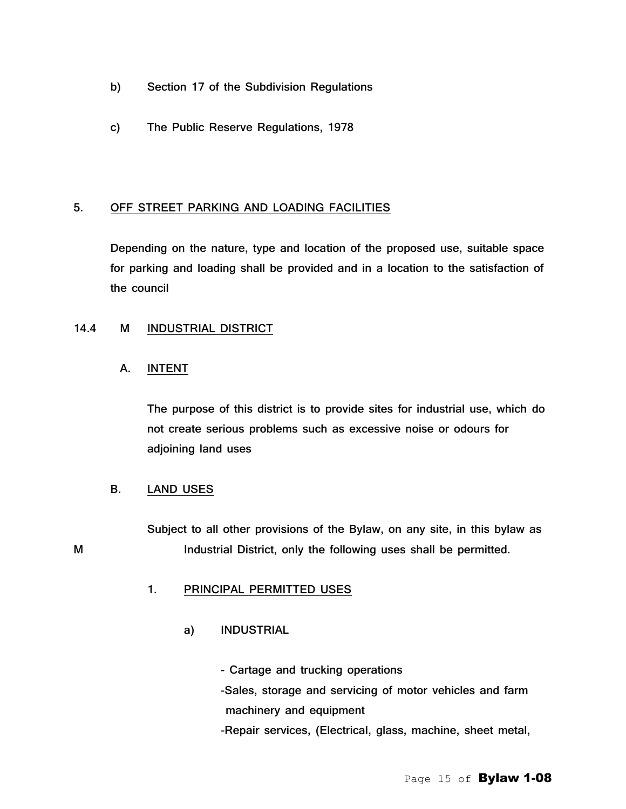- b) Section 17 of the Subdivision Regulations
- c) The Public Reserve Regulations, 1978

# 5. OFF STREET PARKING AND LOADING FACILITIES

Depending on the nature, type and location of the proposed use, suitable space for parking and loading shall be provided and in a location to the satisfaction of the council

# 14.4 M INDUSTRIAL DISTRICT

# A. INTENT

The purpose of this district is to provide sites for industrial use, which do not create serious problems such as excessive noise or odours for adjoining land uses

# B. LAND USES

Subject to all other provisions of the Bylaw, on any site, in this bylaw as M Industrial District, only the following uses shall be permitted.

# 1. PRINCIPAL PERMITTED USES

a) INDUSTRIAL

- Cartage and trucking operations -Sales, storage and servicing of motor vehicles and farm machinery and equipment

-Repair services, (Electrical, glass, machine, sheet metal,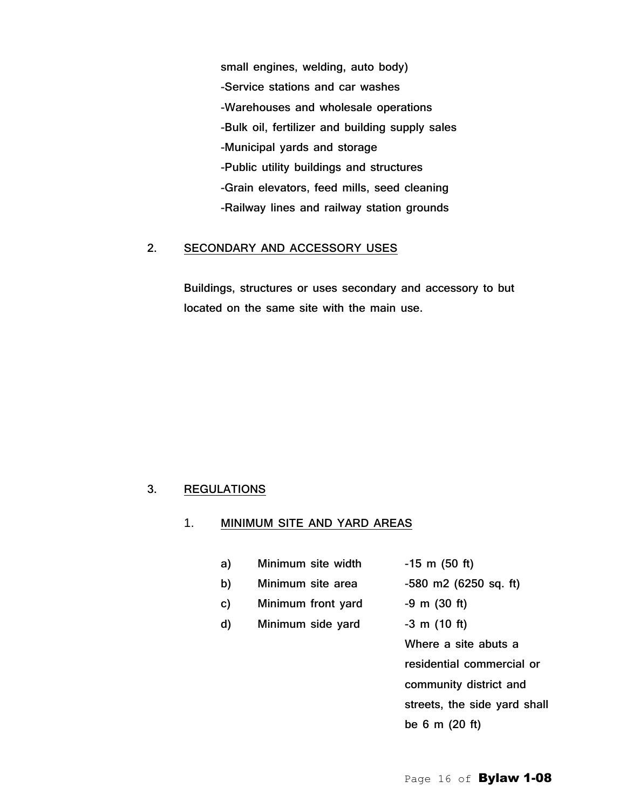small engines, welding, auto body) -Service stations and car washes -Warehouses and wholesale operations -Bulk oil, fertilizer and building supply sales -Municipal yards and storage -Public utility buildings and structures -Grain elevators, feed mills, seed cleaning -Railway lines and railway station grounds

# 2. SECONDARY AND ACCESSORY USES

Buildings, structures or uses secondary and accessory to but located on the same site with the main use.

#### 3. REGULATIONS

# 1. MINIMUM SITE AND YARD AREAS

| a) | Minimum site width | $-15$ m (50 ft)                                        |
|----|--------------------|--------------------------------------------------------|
| b) | Minimum site area  | $-580$ m2 (6250 sq. ft)                                |
| c) | Minimum front yard | $-9$ m $(30$ ft)                                       |
| d) | Minimum side yard  | $-3$ m (10 ft)                                         |
|    |                    | Where a site abuts a                                   |
|    |                    | residential commercia                                  |
|    |                    | والمراجي المستقط المستنقط المتوارد والمستحدث والمنافرة |

e abuts a ommercial or community district and streets, the side yard shall be 6 m (20 ft)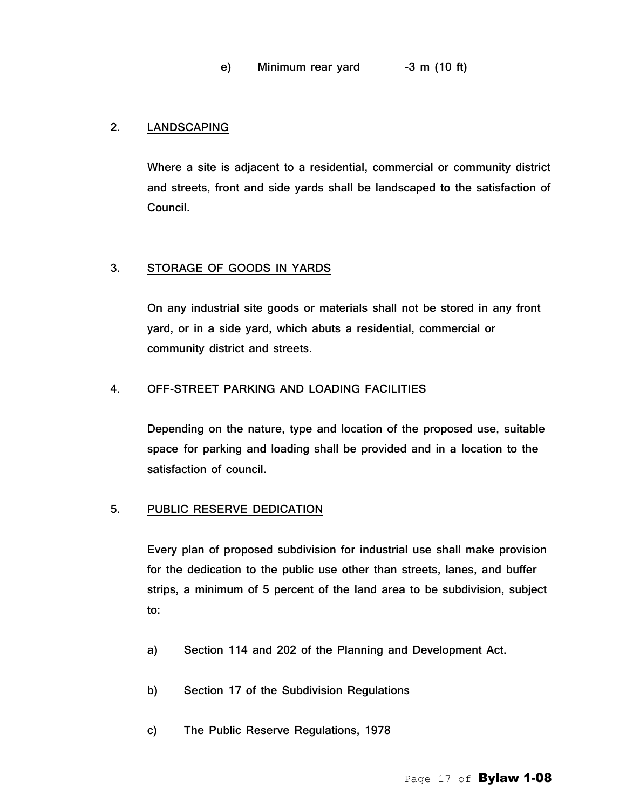# 2. LANDSCAPING

Where a site is adjacent to a residential, commercial or community district and streets, front and side yards shall be landscaped to the satisfaction of Council.

# 3. STORAGE OF GOODS IN YARDS

On any industrial site goods or materials shall not be stored in any front yard, or in a side yard, which abuts a residential, commercial or community district and streets.

# 4. OFF-STREET PARKING AND LOADING FACILITIES

Depending on the nature, type and location of the proposed use, suitable space for parking and loading shall be provided and in a location to the satisfaction of council.

# 5. PUBLIC RESERVE DEDICATION

Every plan of proposed subdivision for industrial use shall make provision for the dedication to the public use other than streets, lanes, and buffer strips, a minimum of 5 percent of the land area to be subdivision, subject to:

- a) Section 114 and 202 of the Planning and Development Act.
- b) Section 17 of the Subdivision Regulations
- c) The Public Reserve Regulations, 1978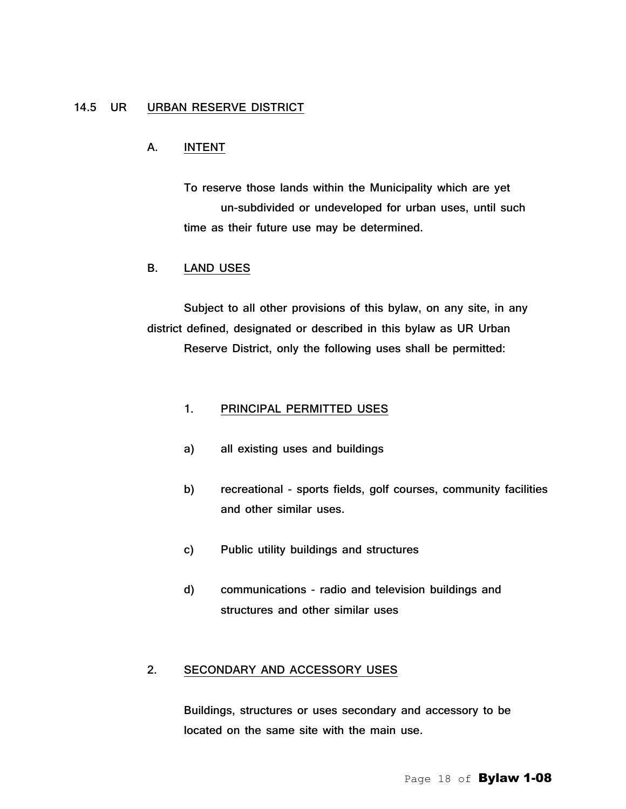# 14.5 UR URBAN RESERVE DISTRICT

#### A. INTENT

To reserve those lands within the Municipality which are yet un-subdivided or undeveloped for urban uses, until such time as their future use may be determined.

#### B. LAND USES

Subject to all other provisions of this bylaw, on any site, in any district defined, designated or described in this bylaw as UR Urban Reserve District, only the following uses shall be permitted:

#### 1. PRINCIPAL PERMITTED USES

- a) all existing uses and buildings
- b) recreational sports fields, golf courses, community facilities and other similar uses.
- c) Public utility buildings and structures
- d) communications radio and television buildings and structures and other similar uses

### 2. SECONDARY AND ACCESSORY USES

Buildings, structures or uses secondary and accessory to be located on the same site with the main use.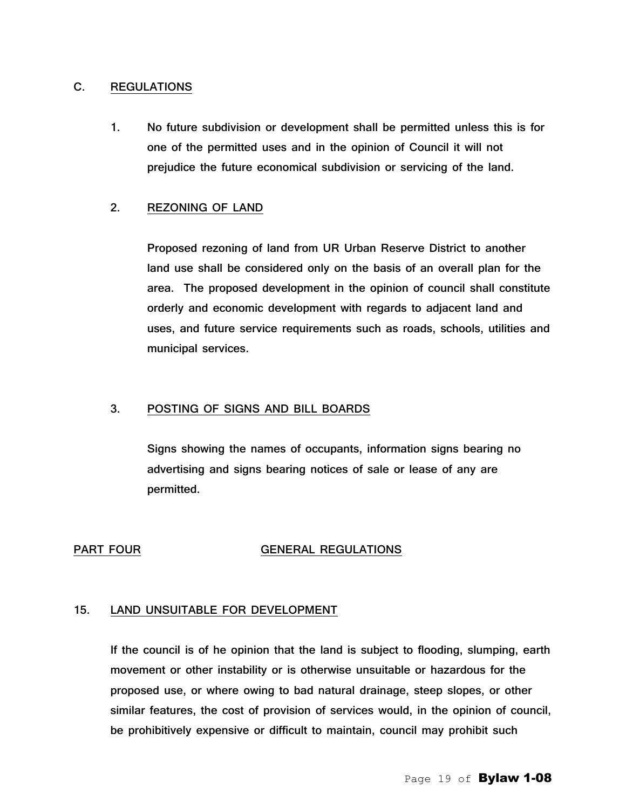### C. REGULATIONS

1. No future subdivision or development shall be permitted unless this is for one of the permitted uses and in the opinion of Council it will not prejudice the future economical subdivision or servicing of the land.

### 2. REZONING OF LAND

Proposed rezoning of land from UR Urban Reserve District to another land use shall be considered only on the basis of an overall plan for the area. The proposed development in the opinion of council shall constitute orderly and economic development with regards to adjacent land and uses, and future service requirements such as roads, schools, utilities and municipal services.

#### 3. POSTING OF SIGNS AND BILL BOARDS

Signs showing the names of occupants, information signs bearing no advertising and signs bearing notices of sale or lease of any are permitted.

#### PART FOUR GENERAL REGULATIONS

#### 15. LAND UNSUITABLE FOR DEVELOPMENT

If the council is of he opinion that the land is subject to flooding, slumping, earth movement or other instability or is otherwise unsuitable or hazardous for the proposed use, or where owing to bad natural drainage, steep slopes, or other similar features, the cost of provision of services would, in the opinion of council, be prohibitively expensive or difficult to maintain, council may prohibit such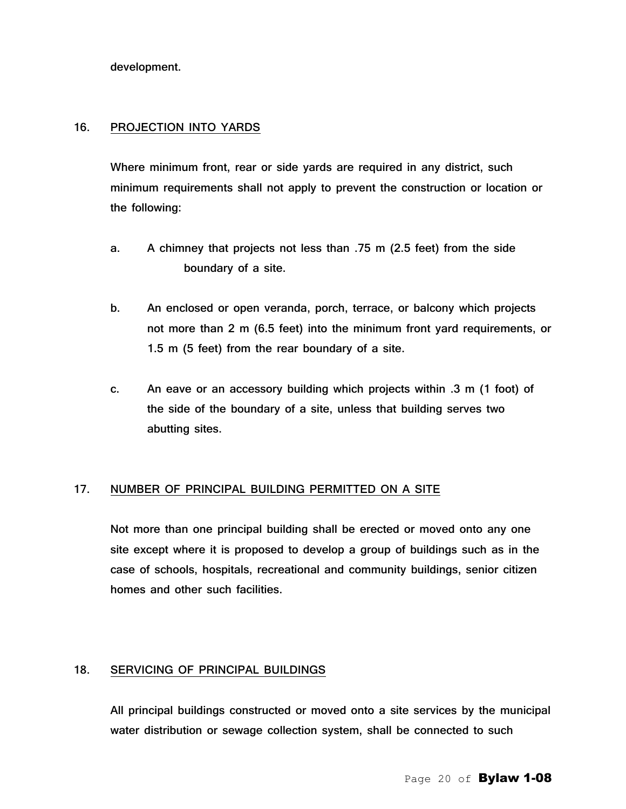development.

#### 16. PROJECTION INTO YARDS

Where minimum front, rear or side yards are required in any district, such minimum requirements shall not apply to prevent the construction or location or the following:

- a. A chimney that projects not less than .75 m (2.5 feet) from the side boundary of a site.
- b. An enclosed or open veranda, porch, terrace, or balcony which projects not more than 2 m (6.5 feet) into the minimum front yard requirements, or 1.5 m (5 feet) from the rear boundary of a site.
- c. An eave or an accessory building which projects within .3 m (1 foot) of the side of the boundary of a site, unless that building serves two abutting sites.

#### 17. NUMBER OF PRINCIPAL BUILDING PERMITTED ON A SITE

Not more than one principal building shall be erected or moved onto any one site except where it is proposed to develop a group of buildings such as in the case of schools, hospitals, recreational and community buildings, senior citizen homes and other such facilities.

#### 18. SERVICING OF PRINCIPAL BUILDINGS

All principal buildings constructed or moved onto a site services by the municipal water distribution or sewage collection system, shall be connected to such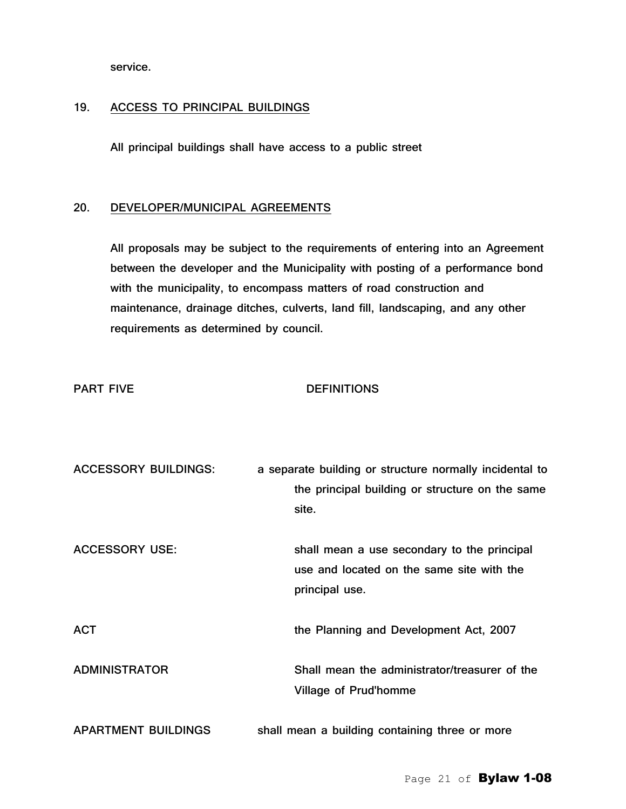service.

#### 19. ACCESS TO PRINCIPAL BUILDINGS

All principal buildings shall have access to a public street

#### 20. DEVELOPER/MUNICIPAL AGREEMENTS

All proposals may be subject to the requirements of entering into an Agreement between the developer and the Municipality with posting of a performance bond with the municipality, to encompass matters of road construction and maintenance, drainage ditches, culverts, land fill, landscaping, and any other requirements as determined by council.

# PART FIVE DEFINITIONS

| <b>ACCESSORY BUILDINGS:</b> | a separate building or structure normally incidental to                                                    |
|-----------------------------|------------------------------------------------------------------------------------------------------------|
|                             | the principal building or structure on the same                                                            |
|                             | site.                                                                                                      |
| <b>ACCESSORY USE:</b>       | shall mean a use secondary to the principal<br>use and located on the same site with the<br>principal use. |
| <b>ACT</b>                  | the Planning and Development Act, 2007                                                                     |
| <b>ADMINISTRATOR</b>        | Shall mean the administrator/treasurer of the<br>Village of Prud'homme                                     |
| <b>APARTMENT BUILDINGS</b>  | shall mean a building containing three or more                                                             |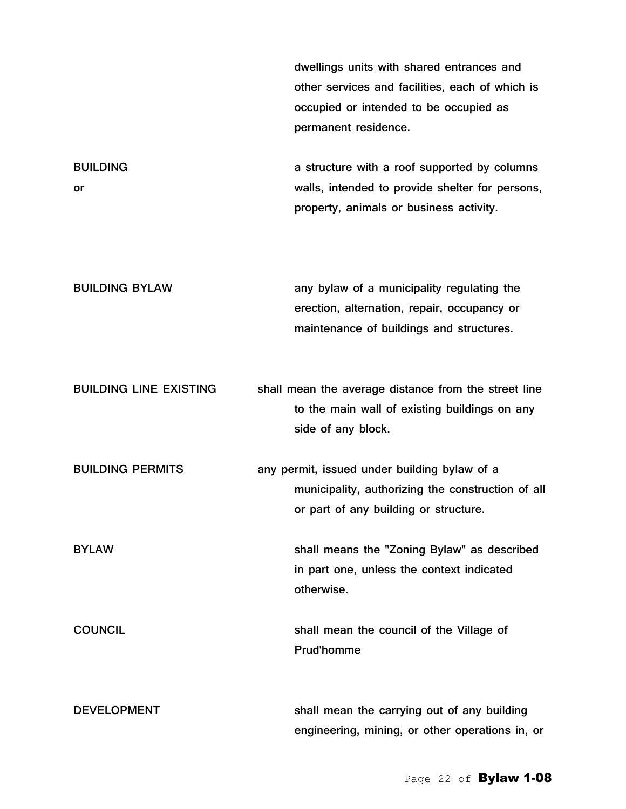dwellings units with shared entrances and other services and facilities, each of which is occupied or intended to be occupied as permanent residence.

BUILDING **a** structure with a roof supported by columns or walls, intended to provide shelter for persons, property, animals or business activity.

BUILDING BYLAW **any bylaw of a municipality regulating the** erection, alternation, repair, occupancy or maintenance of buildings and structures.

BUILDING LINE EXISTING shall mean the average distance from the street line to the main wall of existing buildings on any side of any block.

BUILDING PERMITS any permit, issued under building bylaw of a municipality, authorizing the construction of all or part of any building or structure.

BYLAW shall means the "Zoning Bylaw" as described in part one, unless the context indicated otherwise.

COUNCIL COUNCIL Shall mean the council of the Village of Prud'homme

DEVELOPMENT shall mean the carrying out of any building engineering, mining, or other operations in, or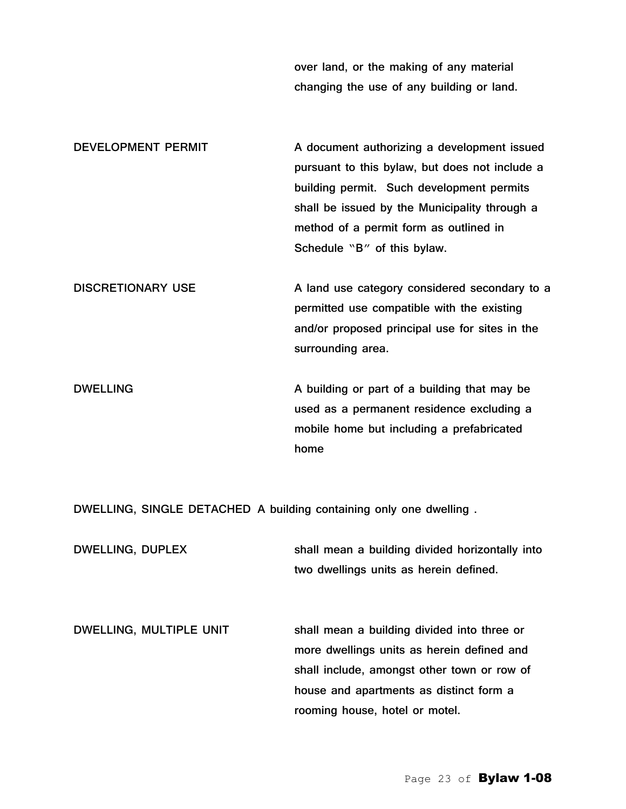over land, or the making of any material changing the use of any building or land.

DEVELOPMENT PERMIT A document authorizing a development issued pursuant to this bylaw, but does not include a building permit. Such development permits shall be issued by the Municipality through a method of a permit form as outlined in Schedule "B" of this bylaw.

DISCRETIONARY USE A land use category considered secondary to a permitted use compatible with the existing and/or proposed principal use for sites in the surrounding area.

DWELLING **A** building or part of a building that may be used as a permanent residence excluding a mobile home but including a prefabricated home

DWELLING, SINGLE DETACHED A building containing only one dwelling .

DWELLING, DUPLEX shall mean a building divided horizontally into two dwellings units as herein defined.

DWELLING, MULTIPLE UNIT shall mean a building divided into three or more dwellings units as herein defined and shall include, amongst other town or row of house and apartments as distinct form a rooming house, hotel or motel.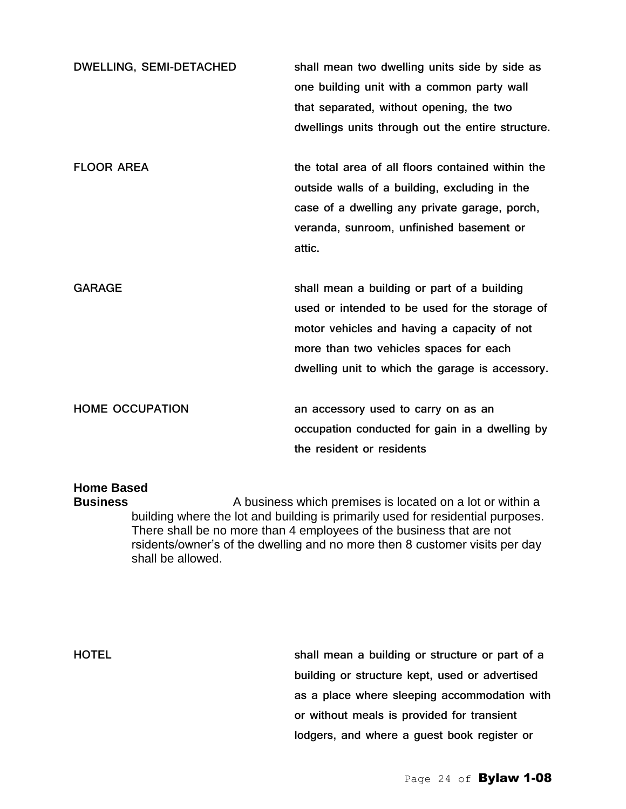| <b>DWELLING, SEMI-DETACHED</b> | shall mean two dwelling units side by side as<br>one building unit with a common party wall<br>that separated, without opening, the two<br>dwellings units through out the entire structure.                                              |
|--------------------------------|-------------------------------------------------------------------------------------------------------------------------------------------------------------------------------------------------------------------------------------------|
| <b>FLOOR AREA</b>              | the total area of all floors contained within the<br>outside walls of a building, excluding in the<br>case of a dwelling any private garage, porch,<br>veranda, sunroom, unfinished basement or<br>attic.                                 |
| <b>GARAGE</b>                  | shall mean a building or part of a building<br>used or intended to be used for the storage of<br>motor vehicles and having a capacity of not<br>more than two vehicles spaces for each<br>dwelling unit to which the garage is accessory. |
| <b>HOME OCCUPATION</b>         | an accessory used to carry on as an<br>occupation conducted for gain in a dwelling by<br>the resident or residents                                                                                                                        |

# **Home Based**

**Business** A business which premises is located on a lot or within a building where the lot and building is primarily used for residential purposes. There shall be no more than 4 employees of the business that are not rsidents/owner's of the dwelling and no more then 8 customer visits per day shall be allowed.

HOTEL shall mean a building or structure or part of a building or structure kept, used or advertised as a place where sleeping accommodation with or without meals is provided for transient lodgers, and where a guest book register or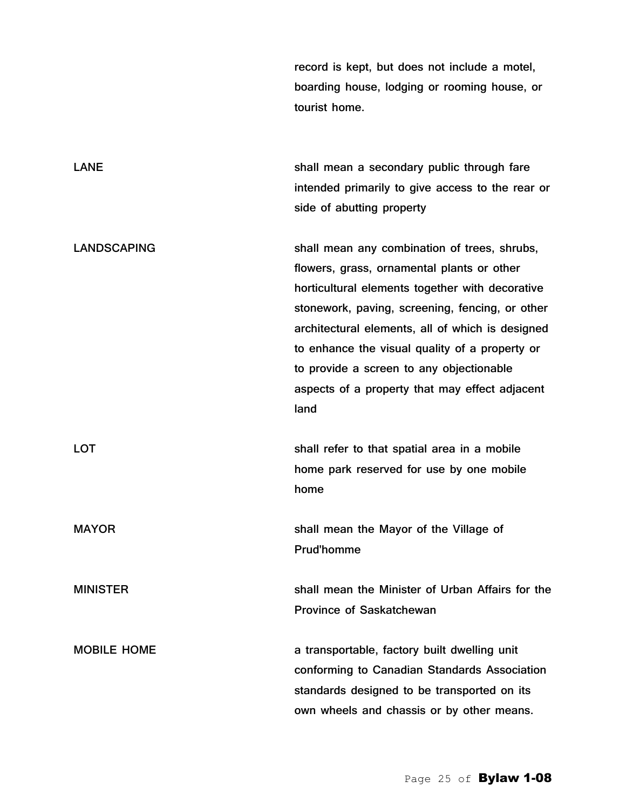record is kept, but does not include a motel, boarding house, lodging or rooming house, or tourist home.

LANE **Shall mean a secondary public through fare** intended primarily to give access to the rear or side of abutting property

LANDSCAPING shall mean any combination of trees, shrubs, flowers, grass, ornamental plants or other horticultural elements together with decorative stonework, paving, screening, fencing, or other architectural elements, all of which is designed to enhance the visual quality of a property or to provide a screen to any objectionable aspects of a property that may effect adjacent land

LOT shall refer to that spatial area in a mobile home park reserved for use by one mobile home

MAYOR **Shall mean the Mayor of the Village of** the MAYOR Prud'homme

MINISTER shall mean the Minister of Urban Affairs for the Province of Saskatchewan

MOBILE HOME a transportable, factory built dwelling unit conforming to Canadian Standards Association standards designed to be transported on its own wheels and chassis or by other means.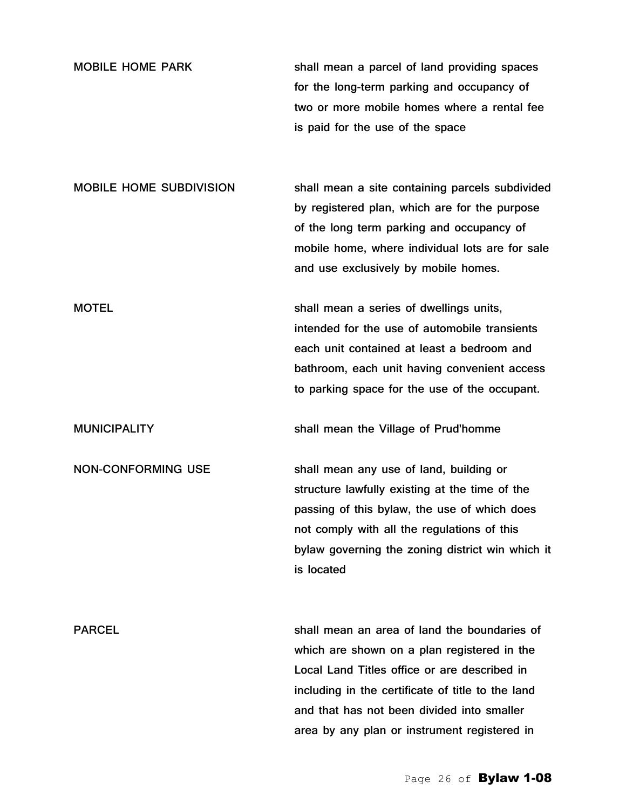| <b>MOBILE HOME PARK</b> | shall mean a parcel of land providing spaces |
|-------------------------|----------------------------------------------|
|                         | for the long-term parking and occupancy of   |
|                         | two or more mobile homes where a rental fee  |
|                         | is paid for the use of the space             |

MOBILE HOME SUBDIVISION shall mean a site containing parcels subdivided by registered plan, which are for the purpose of the long term parking and occupancy of mobile home, where individual lots are for sale and use exclusively by mobile homes.

MOTEL MOTEL Shall mean a series of dwellings units, intended for the use of automobile transients each unit contained at least a bedroom and bathroom, each unit having convenient access to parking space for the use of the occupant.

MUNICIPALITY shall mean the Village of Prud'homme

NON-CONFORMING USE shall mean any use of land, building or structure lawfully existing at the time of the passing of this bylaw, the use of which does not comply with all the regulations of this bylaw governing the zoning district win which it is located

PARCEL shall mean an area of land the boundaries of which are shown on a plan registered in the Local Land Titles office or are described in including in the certificate of title to the land and that has not been divided into smaller area by any plan or instrument registered in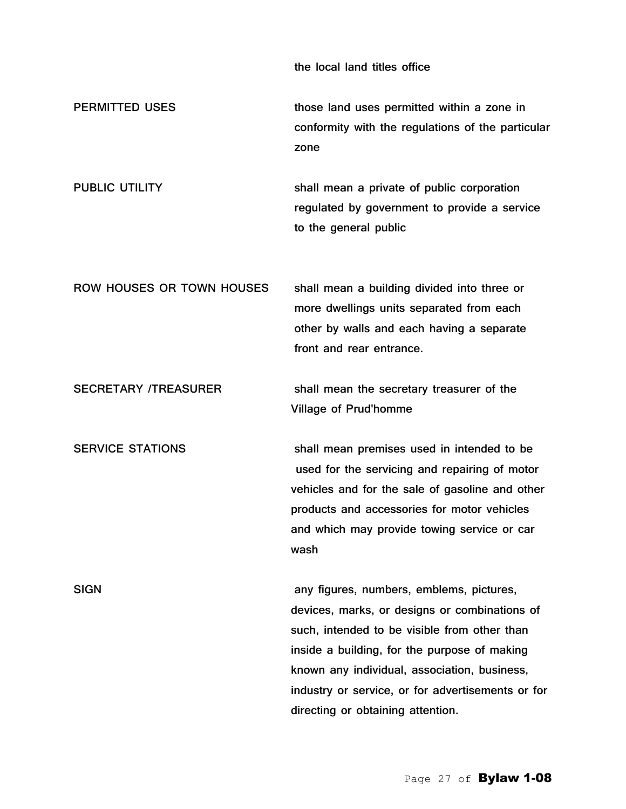the local land titles office

PERMITTED USES those land uses permitted within a zone in conformity with the regulations of the particular zone

PUBLIC UTILITY Shall mean a private of public corporation regulated by government to provide a service to the general public

ROW HOUSES OR TOWN HOUSES shall mean a building divided into three or more dwellings units separated from each other by walls and each having a separate front and rear entrance.

SECRETARY /TREASURER shall mean the secretary treasurer of the Village of Prud'homme

SERVICE STATIONS shall mean premises used in intended to be used for the servicing and repairing of motor vehicles and for the sale of gasoline and other products and accessories for motor vehicles and which may provide towing service or car wash

SIGN any figures, numbers, emblems, pictures, devices, marks, or designs or combinations of such, intended to be visible from other than inside a building, for the purpose of making known any individual, association, business, industry or service, or for advertisements or for directing or obtaining attention.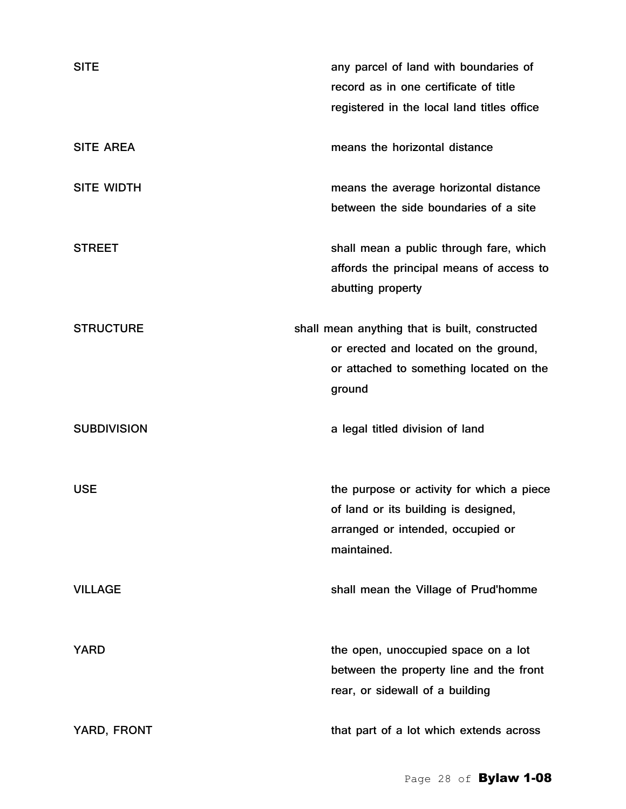| <b>SITE</b>        | any parcel of land with boundaries of<br>record as in one certificate of title<br>registered in the local land titles office                 |
|--------------------|----------------------------------------------------------------------------------------------------------------------------------------------|
| <b>SITE AREA</b>   | means the horizontal distance                                                                                                                |
| <b>SITE WIDTH</b>  | means the average horizontal distance<br>between the side boundaries of a site                                                               |
| <b>STREET</b>      | shall mean a public through fare, which<br>affords the principal means of access to<br>abutting property                                     |
| <b>STRUCTURE</b>   | shall mean anything that is built, constructed<br>or erected and located on the ground,<br>or attached to something located on the<br>ground |
| <b>SUBDIVISION</b> | a legal titled division of land                                                                                                              |
| <b>USE</b>         | the purpose or activity for which a piece<br>of land or its building is designed,<br>arranged or intended, occupied or<br>maintained.        |
| <b>VILLAGE</b>     | shall mean the Village of Prud'homme                                                                                                         |
| <b>YARD</b>        | the open, unoccupied space on a lot<br>between the property line and the front<br>rear, or sidewall of a building                            |
| YARD, FRONT        | that part of a lot which extends across                                                                                                      |